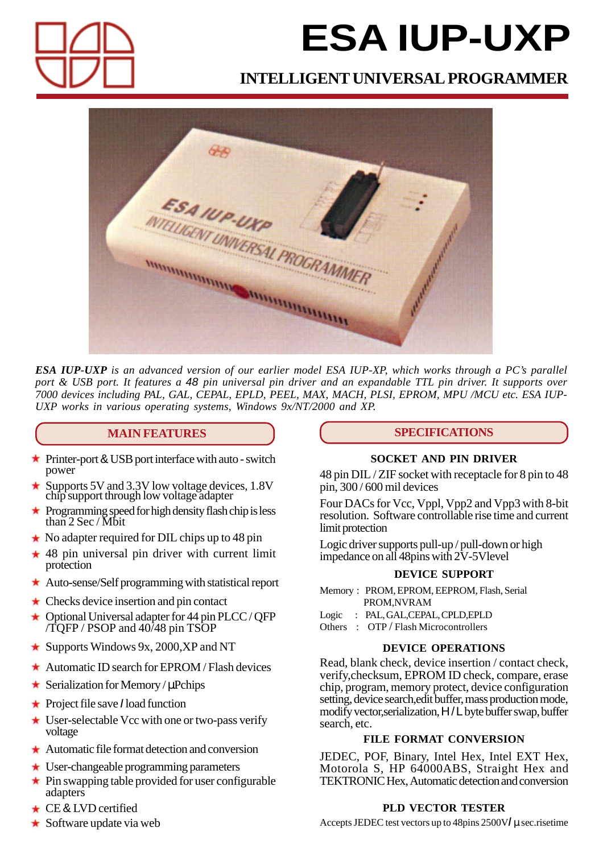

# **ESA IUP-UXP**

## **INTELLIGENT UNIVERSAL PROGRAMMER**



*ESA IUP-UXP is an advanced version of our earlier model ESA IUP-XP, which works through a PC's parallel port & USB port. It features a 48 pin universal pin driver and an expandable TTL pin driver. It supports over 7000 devices including PAL, GAL, CEPAL, EPLD, PEEL, MAX, MACH, PLSI, EPROM, MPU /MCU etc. ESA IUP-UXP works in various operating systems, Windows 9x/NT/2000 and XP.*

## **MAIN FEATURES**

- ★ Printer-port & USB port interface with auto switch power
- Supports 5V and 3.3V low voltage devices, 1.8V chip support through low voltage adapter
- Programming speed for high density flash chip is less than 2 Sec / Mbit
- $\star$  No adapter required for DIL chips up to 48 pin
- $\star$  48 pin universal pin driver with current limit protection
- Auto-sense/Self programming with statistical report
- $\star$  Checks device insertion and pin contact
- $\star$  Optional Universal adapter for 44 pin PLCC / OFP /TQFP / PSOP and 40/48 pin TSOP
- $\star$  Supports Windows 9x, 2000, XP and NT
- $\star$  Automatic ID search for EPROM/Flash devices
- $\star$  Serialization for Memory / uPchips
- ★ Project file save *I* load function
- $\star$  User-selectable Vcc with one or two-pass verify voltage
- Automatic file format detection and conversion
- User-changeable programming parameters
- $\star$  Pin swapping table provided for user configurable adapters
- ★ CE & LVD certified
- $\star$  Software update via web

## **SPECIFICATIONS**

## **SOCKET AND PIN DRIVER**

48 pin DIL / ZIF socket with receptacle for 8 pin to 48 pin, 300 / 600 mil devices

Four DACs for Vcc, Vppl, Vpp2 and Vpp3 with 8-bit resolution. Software controllable rise time and current limit protection

Logic driver supports pull-up / pull-down or high impedance on all 48pins with 2V-5Vlevel

## **DEVICE SUPPORT**

Memory : PROM, EPROM, EEPROM, Flash, Serial PROM,NVRAM

- Logic : PAL, GAL,CEPAL, CPLD,EPLD
- Others : OTP / Flash Microcontrollers

## **DEVICE OPERATIONS**

Read, blank check, device insertion / contact check, verify,checksum, EPROM ID check, compare, erase chip, program, memory protect, device configuration setting, device search,edit buffer, mass production mode, modify vector,serialization, H/L byte buffer swap, buffer search, etc.

## **FILE FORMAT CONVERSION**

JEDEC, POF, Binary, Intel Hex, Intel EXT Hex, Motorola S, HP 64000ABS, Straight Hex and TEKTRONIC Hex, Automatic detection and conversion

## **PLD VECTOR TESTER**

Accepts JEDEC test vectors up to 48pins 2500V*I* µ sec.risetime